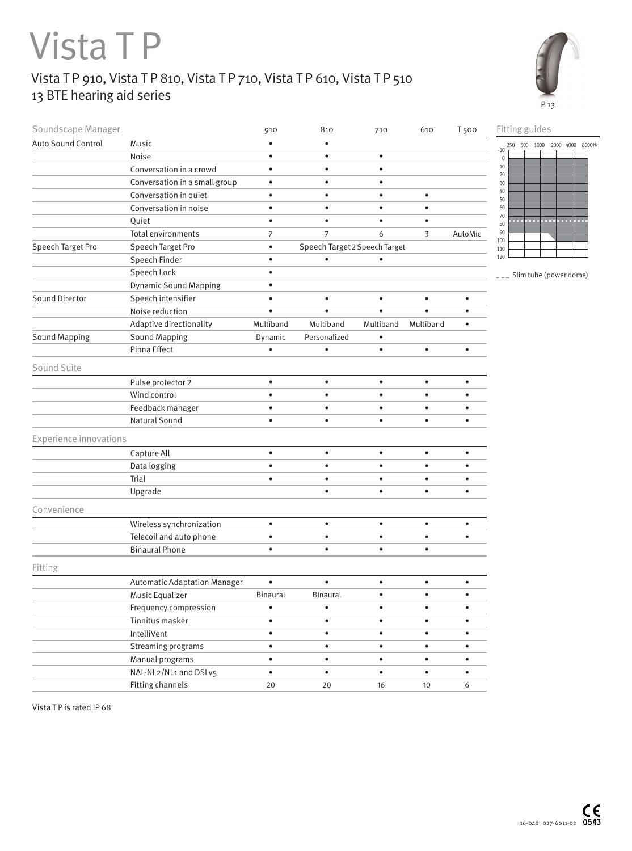## Vista T P

## Vista T P 910, Vista T P 810, Vista T P 710, Vista T P 610, Vista T P 510 13 BTE hearing aid series



| Soundscape Manager            |                                     | 910             | 810                           | 710       | 610       | <b>T500</b> | Fitting guides                                       |
|-------------------------------|-------------------------------------|-----------------|-------------------------------|-----------|-----------|-------------|------------------------------------------------------|
| Auto Sound Control            | Music                               | $\bullet$       | $\bullet$                     |           |           |             | 250 500 1000 2000 4000 8000 Hz                       |
|                               | Noise                               | $\bullet$       | $\bullet$                     | $\bullet$ |           |             | $-10$<br>$\mathsf{0}$                                |
|                               | Conversation in a crowd             | $\bullet$       | $\bullet$                     | $\bullet$ |           |             | $10\,$<br>20                                         |
|                               | Conversation in a small group       | $\bullet$       | $\bullet$                     | ٠         |           |             | 30                                                   |
|                               | Conversation in quiet               | $\bullet$       | $\bullet$                     | $\bullet$ | $\bullet$ |             | 40<br>50                                             |
|                               | Conversation in noise               | $\bullet$       | $\bullet$                     | $\bullet$ | $\bullet$ |             | 60                                                   |
|                               | Quiet                               | $\bullet$       | $\bullet$                     | $\bullet$ | $\bullet$ |             | 70<br>a an<br>and a project of<br><b>STATE</b><br>80 |
|                               | Total environments                  | 7               | $\overline{7}$                | 6         | 3         | AutoMic     | 90                                                   |
| Speech Target Pro             | Speech Target Pro                   | $\bullet$       | Speech Target 2 Speech Target |           |           |             | 100<br>110                                           |
|                               | Speech Finder                       | $\bullet$       | $\bullet$                     | $\bullet$ |           |             | 120                                                  |
|                               | Speech Lock                         | $\bullet$       |                               |           |           |             | -- Slim tube (power dome)                            |
|                               | <b>Dynamic Sound Mapping</b>        | $\bullet$       |                               |           |           |             |                                                      |
| Sound Director                | Speech intensifier                  | $\bullet$       | $\bullet$                     | $\bullet$ | $\bullet$ | $\bullet$   |                                                      |
|                               | Noise reduction                     | $\bullet$       | $\bullet$                     | $\bullet$ | $\bullet$ | $\bullet$   |                                                      |
|                               | Adaptive directionality             | Multiband       | Multiband                     | Multiband | Multiband | $\bullet$   |                                                      |
| <b>Sound Mapping</b>          | <b>Sound Mapping</b>                | Dynamic         | Personalized                  | $\bullet$ |           |             |                                                      |
|                               | Pinna Effect                        | ٠               | $\bullet$                     | $\bullet$ | $\bullet$ | $\bullet$   |                                                      |
| Sound Suite                   |                                     |                 |                               |           |           |             |                                                      |
|                               | Pulse protector 2                   | $\bullet$       | $\bullet$                     | $\bullet$ | $\bullet$ | $\bullet$   |                                                      |
|                               | Wind control                        | $\bullet$       | $\bullet$                     | $\bullet$ | $\bullet$ | $\bullet$   |                                                      |
|                               | Feedback manager                    | $\bullet$       | $\bullet$                     | $\bullet$ | $\bullet$ | $\bullet$   |                                                      |
|                               | Natural Sound                       | $\bullet$       | $\bullet$                     | $\bullet$ | $\bullet$ | ٠           |                                                      |
| <b>Experience innovations</b> |                                     |                 |                               |           |           |             |                                                      |
|                               | Capture All                         | $\bullet$       | $\bullet$                     | $\bullet$ | $\bullet$ | $\bullet$   |                                                      |
|                               | Data logging                        | $\bullet$       | $\bullet$                     | $\bullet$ | $\bullet$ | $\bullet$   |                                                      |
|                               | Trial                               | $\bullet$       | $\bullet$                     | $\bullet$ | $\bullet$ | $\bullet$   |                                                      |
|                               | Upgrade                             |                 | $\bullet$                     | $\bullet$ | $\bullet$ | $\bullet$   |                                                      |
| Convenience                   |                                     |                 |                               |           |           |             |                                                      |
|                               | Wireless synchronization            | $\bullet$       | $\bullet$                     | $\bullet$ | $\bullet$ | $\bullet$   |                                                      |
|                               | Telecoil and auto phone             | $\bullet$       | $\bullet$                     | $\bullet$ | $\bullet$ | $\bullet$   |                                                      |
|                               | <b>Binaural Phone</b>               | $\bullet$       | $\bullet$                     | $\bullet$ | $\bullet$ |             |                                                      |
| Fitting                       |                                     |                 |                               |           |           |             |                                                      |
|                               | <b>Automatic Adaptation Manager</b> | $\bullet$       | $\bullet$                     | $\bullet$ | $\bullet$ | $\bullet$   |                                                      |
|                               | Music Equalizer                     | <b>Binaural</b> | <b>Binaural</b>               | $\bullet$ | $\bullet$ | $\bullet$   |                                                      |
|                               | Frequency compression               | $\bullet$       | ٠                             | $\bullet$ | ٠         | $\bullet$   |                                                      |
|                               | Tinnitus masker                     | $\bullet$       | $\bullet$                     | $\bullet$ | $\bullet$ | $\bullet$   |                                                      |
|                               | IntelliVent                         | $\bullet$       | $\bullet$                     | $\bullet$ | $\bullet$ | $\bullet$   |                                                      |
|                               | Streaming programs                  | $\bullet$       | $\bullet$                     | $\bullet$ | $\bullet$ | $\bullet$   |                                                      |
|                               | Manual programs                     | $\bullet$       | $\bullet$                     | $\bullet$ | $\bullet$ | $\bullet$   |                                                      |
|                               | NAL-NL2/NL1 and DSLv5               | $\bullet$       | $\bullet$                     | $\bullet$ | $\bullet$ | $\bullet$   |                                                      |
|                               | Fitting channels                    | 20              | 20                            | 16        | 10        | 6           |                                                      |

Vista T P is rated IP 68